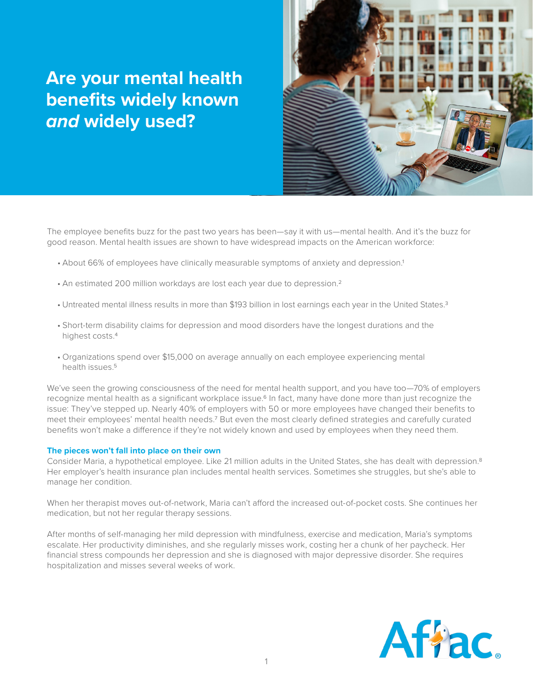# **Are your mental health benefits widely known**  *and* **widely used?**



The employee benefits buzz for the past two years has been—say it with us—mental health. And it's the buzz for good reason. Mental health issues are shown to have widespread impacts on the American workforce:

- About 66% of employees have clinically measurable symptoms of anxiety and depression.<sup>1</sup>
- An estimated 200 million workdays are lost each year due to depression.<sup>2</sup>
- Untreated mental illness results in more than \$193 billion in lost earnings each year in the United States.<sup>3</sup>
- • Short-term disability claims for depression and mood disorders have the longest durations and the highest costs.4
- • Organizations spend over \$15,000 on average annually on each employee experiencing mental health issues.5

We've seen the growing consciousness of the need for mental health support, and you have too-70% of employers recognize mental health as a significant workplace issue.<sup>6</sup> In fact, many have done more than just recognize the issue: They've stepped up. Nearly 40% of employers with 50 or more employees have changed their benefits to meet their employees' mental health needs.7 But even the most clearly defined strategies and carefully curated benefits won't make a difference if they're not widely known and used by employees when they need them.

#### **The pieces won't fall into place on their own**

Consider Maria, a hypothetical employee. Like 21 million adults in the United States, she has dealt with depression.8 Her employer's health insurance plan includes mental health services. Sometimes she struggles, but she's able to manage her condition.

When her therapist moves out-of-network, Maria can't afford the increased out-of-pocket costs. She continues her medication, but not her regular therapy sessions.

After months of self-managing her mild depression with mindfulness, exercise and medication, Maria's symptoms escalate. Her productivity diminishes, and she regularly misses work, costing her a chunk of her paycheck. Her financial stress compounds her depression and she is diagnosed with major depressive disorder. She requires hospitalization and misses several weeks of work.

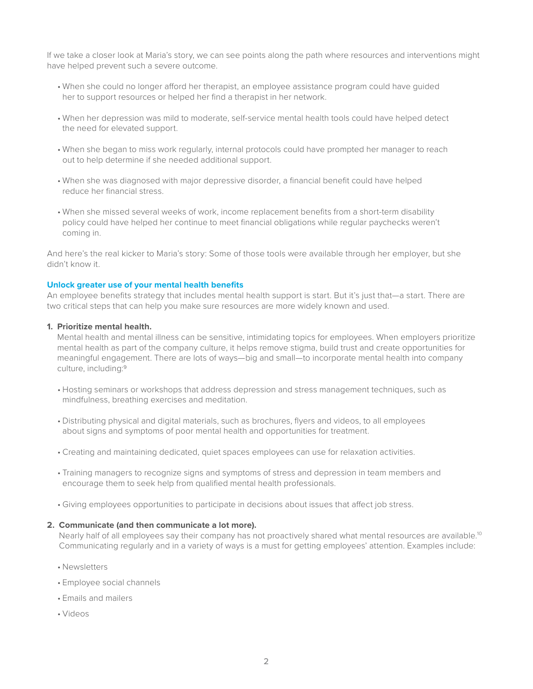If we take a closer look at Maria's story, we can see points along the path where resources and interventions might have helped prevent such a severe outcome.

- • When she could no longer afford her therapist, an employee assistance program could have guided her to support resources or helped her find a therapist in her network.
- • When her depression was mild to moderate, self-service mental health tools could have helped detect the need for elevated support.
- • When she began to miss work regularly, internal protocols could have prompted her manager to reach out to help determine if she needed additional support.
- • When she was diagnosed with major depressive disorder, a financial benefit could have helped reduce her financial stress.
- • When she missed several weeks of work, income replacement benefits from a short-term disability policy could have helped her continue to meet financial obligations while regular paychecks weren't coming in.

And here's the real kicker to Maria's story: Some of those tools were available through her employer, but she didn't know it.

#### **Unlock greater use of your mental health benefits**

An employee benefits strategy that includes mental health support is start. But it's just that—a start. There are two critical steps that can help you make sure resources are more widely known and used.

#### **1. Prioritize mental health.**

Mental health and mental illness can be sensitive, intimidating topics for employees. When employers prioritize mental health as part of the company culture, it helps remove stigma, build trust and create opportunities for meaningful engagement. There are lots of ways—big and small—to incorporate mental health into company culture, including:9

- • Hosting seminars or workshops that address depression and stress management techniques, such as mindfulness, breathing exercises and meditation.
- • Distributing physical and digital materials, such as brochures, flyers and videos, to all employees about signs and symptoms of poor mental health and opportunities for treatment.
- • Creating and maintaining dedicated, quiet spaces employees can use for relaxation activities.
- • Training managers to recognize signs and symptoms of stress and depression in team members and encourage them to seek help from qualified mental health professionals.
- • Giving employees opportunities to participate in decisions about issues that affect job stress.

### **2. Communicate (and then communicate a lot more).**

Nearly half of all employees say their company has not proactively shared what mental resources are available.<sup>10</sup> Communicating regularly and in a variety of ways is a must for getting employees' attention. Examples include:

- • Newsletters
- • Employee social channels
- • Emails and mailers
- • Videos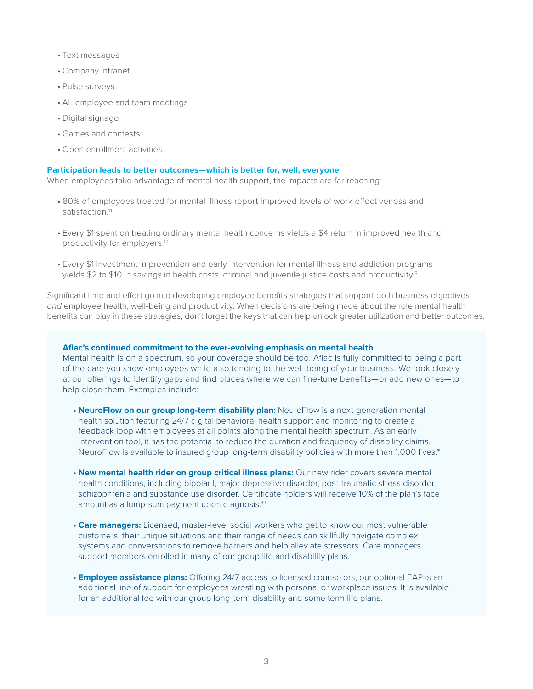- • Text messages
- • Company intranet
- • Pulse surveys
- • All-employee and team meetings
- • Digital signage
- • Games and contests
- • Open enrollment activities

#### **Participation leads to better outcomes—which is better for, well, everyone**

When employees take advantage of mental health support, the impacts are far-reaching:

- • 80% of employees treated for mental illness report improved levels of work effectiveness and satisfaction.<sup>11</sup>
- Every \$1 spent on treating ordinary mental health concerns yields a \$4 return in improved health and productivity for employers.12
- Every \$1 investment in prevention and early intervention for mental illness and addiction programs yields \$2 to \$10 in savings in health costs, criminal and juvenile justice costs and productivity.<sup>3</sup>

Significant time and effort go into developing employee benefits strategies that support both business objectives *and* employee health, well-being and productivity. When decisions are being made about the role mental health benefits can play in these strategies, don't forget the keys that can help unlock greater utilization and better outcomes.

### **Aflac's continued commitment to the ever-evolving emphasis on mental health**

Mental health is on a spectrum, so your coverage should be too. Aflac is fully committed to being a part of the care you show employees while also tending to the well-being of your business. We look closely at our offerings to identify gaps and find places where we can fine-tune benefits—or add new ones—to help close them. Examples include:

- **• NeuroFlow on our group long-term disability plan:** NeuroFlow is a next-generation mental health solution featuring 24/7 digital behavioral health support and monitoring to create a feedback loop with employees at all points along the mental health spectrum. As an early intervention tool, it has the potential to reduce the duration and frequency of disability claims. NeuroFlow is available to insured group long-term disability policies with more than 1,000 lives.\*
- **• New mental health rider on group critical illness plans:** Our new rider covers severe mental health conditions, including bipolar I, major depressive disorder, post-traumatic stress disorder, schizophrenia and substance use disorder. Certificate holders will receive 10% of the plan's face amount as a lump-sum payment upon diagnosis.\*\*
- **• Care managers:** Licensed, master-level social workers who get to know our most vulnerable customers, their unique situations and their range of needs can skillfully navigate complex systems and conversations to remove barriers and help alleviate stressors. Care managers support members enrolled in many of our group life and disability plans.
- **• Employee assistance plans:** Offering 24/7 access to licensed counselors, our optional EAP is an additional line of support for employees wrestling with personal or workplace issues. It is available for an additional fee with our group long-term disability and some term life plans.